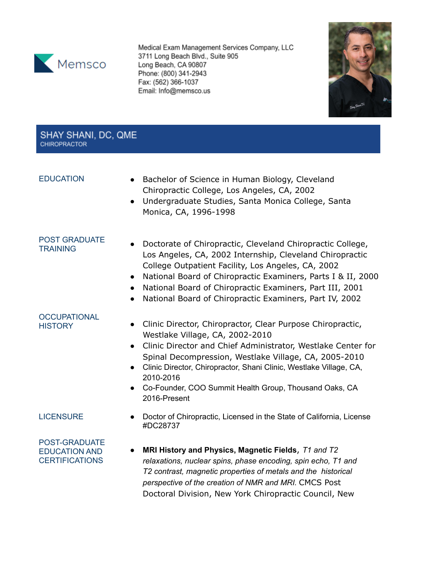

Medical Exam Management Services Company, LLC 3711 Long Beach Blvd., Suite 905 Long Beach, CA 90807 Phone: (800) 341-2943 Fax: (562) 366-1037 Email: Info@memsco.us



## SHAY SHANI, DC, QME **CHIROPRACTOR**

- EDUCATION Bachelor of Science in Human Biology, Cleveland Chiropractic College, Los Angeles, CA, 2002
	- Undergraduate Studies, Santa Monica College, Santa Monica, CA, 1996-1998

## POST GRADUATE **TRAINING**

- Doctorate of Chiropractic, Cleveland Chiropractic College, Los Angeles, CA, 2002 Internship, Cleveland Chiropractic College Outpatient Facility, Los Angeles, CA, 2002
	- National Board of Chiropractic Examiners, Parts I & II, 2000
	- National Board of Chiropractic Examiners, Part III, 2001
	- National Board of Chiropractic Examiners, Part IV, 2002

# **OCCUPATIONAL**

- HISTORY **•** Clinic Director, Chiropractor, Clear Purpose Chiropractic, Westlake Village, CA, 2002-2010
	- Clinic Director and Chief Administrator, Westlake Center for Spinal Decompression, Westlake Village, CA, 2005-2010
	- Clinic Director, Chiropractor, Shani Clinic, Westlake Village, CA, 2010-2016
	- Co-Founder, COO Summit Health Group, Thousand Oaks, CA 2016-Present

LICENSURE **•** Doctor of Chiropractic, Licensed in the State of California, License #DC28737

### POST-GRADUATE EDUCATION AND **CERTIFICATIONS**

● **MRI History and Physics, Magnetic Fields**, *T1 and T2 relaxations, nuclear spins, phase encoding, spin echo, T1 and T2 contrast, magnetic properties of metals and the historical perspective of the creation of NMR and MRI.* CMCS Post Doctoral Division, New York Chiropractic Council, New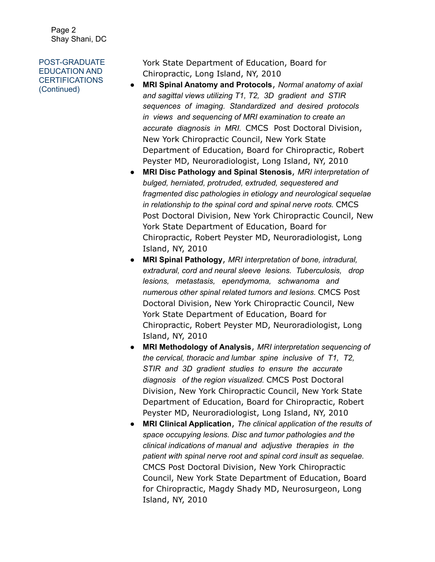Page 2 Shay Shani, DC

## POST-GRADUATE EDUCATION AND **CERTIFICATIONS** (Continued)

York State Department of Education, Board for Chiropractic, Long Island, NY, 2010

- **MRI Spinal Anatomy and Protocols**, *Normal anatomy of axial and sagittal views utilizing T1, T2, 3D gradient and STIR sequences of imaging. Standardized and desired protocols in views and sequencing of MRI examination to create an accurate diagnosis in MRI.* CMCS Post Doctoral Division, New York Chiropractic Council, New York State Department of Education, Board for Chiropractic, Robert Peyster MD, Neuroradiologist, Long Island, NY, 2010
- **MRI Disc Pathology and Spinal Stenosis**, *MRI interpretation of bulged, herniated, protruded, extruded, sequestered and fragmented disc pathologies in etiology and neurological sequelae in relationship to the spinal cord and spinal nerve roots.* CMCS Post Doctoral Division, New York Chiropractic Council, New York State Department of Education, Board for Chiropractic, Robert Peyster MD, Neuroradiologist, Long Island, NY, 2010
- **MRI Spinal Pathology**, *MRI interpretation of bone, intradural, extradural, cord and neural sleeve lesions. Tuberculosis, drop lesions, metastasis, ependymoma, schwanoma and numerous other spinal related tumors and lesions.* CMCS Post Doctoral Division, New York Chiropractic Council, New York State Department of Education, Board for Chiropractic, Robert Peyster MD, Neuroradiologist, Long Island, NY, 2010
- **MRI Methodology of Analysis**, *MRI interpretation sequencing of the cervical, thoracic and lumbar spine inclusive of T1, T2, STIR and 3D gradient studies to ensure the accurate diagnosis of the region visualized.* CMCS Post Doctoral Division, New York Chiropractic Council, New York State Department of Education, Board for Chiropractic, Robert Peyster MD, Neuroradiologist, Long Island, NY, 2010
- **MRI Clinical Application**, *The clinical application of the results of space occupying lesions. Disc and tumor pathologies and the clinical indications of manual and adjustive therapies in the patient with spinal nerve root and spinal cord insult as sequelae.* CMCS Post Doctoral Division, New York Chiropractic Council, New York State Department of Education, Board for Chiropractic, Magdy Shady MD, Neurosurgeon, Long Island, NY, 2010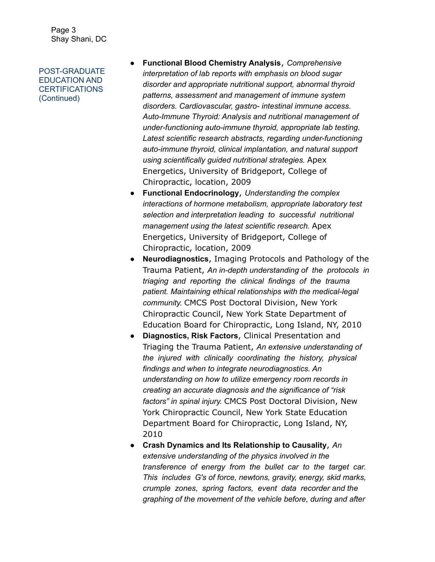Page 3 Shay Shani, DC

POST-GRADUATE EDUCATION AND **CERTIFICATIONS** (Continued)

- **Functional Blood Chemistry Analysis**, *Comprehensive interpretation of lab reports with emphasis on blood sugar disorder and appropriate nutritional support, abnormal thyroid patterns, assessment and management of immune system disorders. Cardiovascular, gastro- intestinal immune access. Auto-Immune Thyroid: Analysis and nutritional management of under-functioning auto-immune thyroid, appropriate lab testing. Latest scientific research abstracts, regarding under-functioning auto-immune thyroid, clinical implantation, and natural support using scientifically guided nutritional strategies.* Apex Energetics, University of Bridgeport, College of Chiropractic, location, 2009
- **Functional Endocrinology**, *Understanding the complex interactions of hormone metabolism, appropriate laboratory test selection and interpretation leading to successful nutritional management using the latest scientific research.* Apex Energetics, University of Bridgeport, College of Chiropractic, location, 2009
- **Neurodiagnostics**, Imaging Protocols and Pathology of the Trauma Patient, *An in-depth understanding of the protocols in triaging and reporting the clinical findings of the trauma patient. Maintaining ethical relationships with the medical-legal community.* CMCS Post Doctoral Division, New York Chiropractic Council, New York State Department of Education Board for Chiropractic, Long Island, NY, 2010
- **Diagnostics, Risk Factors**, Clinical Presentation and Triaging the Trauma Patient, *An extensive understanding of the injured with clinically coordinating the history, physical findings and when to integrate neurodiagnostics. An understanding on how to utilize emergency room records in creating an accurate diagnosis and the significance of "risk factors" in spinal injury.* CMCS Post Doctoral Division, New York Chiropractic Council, New York State Education Department Board for Chiropractic, Long Island, NY, 2010
- **Crash Dynamics and Its Relationship to Causality**, *An extensive understanding of the physics involved in the transference of energy from the bullet car to the target car. This includes G's of force, newtons, gravity, energy, skid marks, crumple zones, spring factors, event data recorder and the graphing of the movement of the vehicle before, during and after*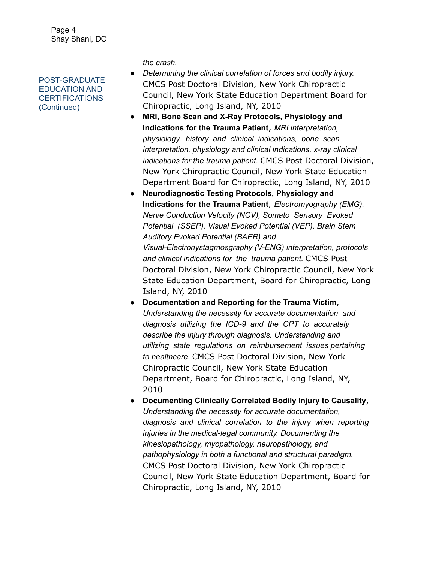Page 4 Shay Shani, DC

POST-GRADUATE EDUCATION AND CERTIFICATIONS (Continued)

*the crash.*

- *Determining the clinical correlation of forces and bodily injury.* CMCS Post Doctoral Division, New York Chiropractic Council, New York State Education Department Board for Chiropractic, Long Island, NY, 2010
- **MRI, Bone Scan and X-Ray Protocols, Physiology and Indications for the Trauma Patient**, *MRI interpretation, physiology, history and clinical indications, bone scan interpretation, physiology and clinical indications, x-ray clinical indications for the trauma patient.* CMCS Post Doctoral Division, New York Chiropractic Council, New York State Education Department Board for Chiropractic, Long Island, NY, 2010
- **Neurodiagnostic Testing Protocols, Physiology and Indications for the Trauma Patient**, *Electromyography (EMG), Nerve Conduction Velocity (NCV), Somato Sensory Evoked Potential (SSEP), Visual Evoked Potential (VEP), Brain Stem Auditory Evoked Potential (BAER) and Visual-Electronystagmosgraphy (V-ENG) interpretation, protocols and clinical indications for the trauma patient.* CMCS Post Doctoral Division, New York Chiropractic Council, New York State Education Department, Board for Chiropractic, Long Island, NY, 2010
- **Documentation and Reporting for the Trauma Victim**, *Understanding the necessity for accurate documentation and diagnosis utilizing the ICD-9 and the CPT to accurately describe the injury through diagnosis. Understanding and utilizing state regulations on reimbursement issues pertaining to healthcare.* CMCS Post Doctoral Division, New York Chiropractic Council, New York State Education Department, Board for Chiropractic, Long Island, NY, 2010

● **Documenting Clinically Correlated Bodily Injury to Causality**, *Understanding the necessity for accurate documentation, diagnosis and clinical correlation to the injury when reporting injuries in the medical-legal community. Documenting the kinesiopathology, myopathology, neuropathology, and pathophysiology in both a functional and structural paradigm.* CMCS Post Doctoral Division, New York Chiropractic Council, New York State Education Department, Board for Chiropractic, Long Island, NY, 2010